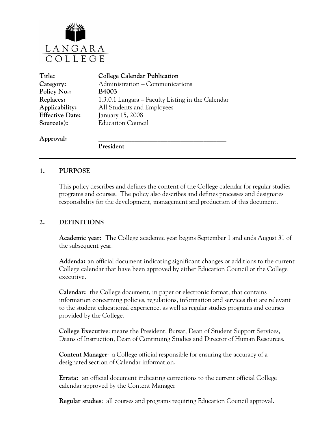

| Title:                 | <b>College Calendar Publication</b>               |
|------------------------|---------------------------------------------------|
| Category:              | Administration - Communications                   |
| Policy No.:            | <b>B4003</b>                                      |
| Replaces:              | 1.3.0.1 Langara – Faculty Listing in the Calendar |
| Applicability:         | All Students and Employees                        |
| <b>Effective Date:</b> | January 15, 2008                                  |
| Source(s):             | <b>Education Council</b>                          |
| Approval:              |                                                   |
|                        | President                                         |

#### **1. PURPOSE**

This policy describes and defines the content of the College calendar for regular studies programs and courses. The policy also describes and defines processes and designates responsibility for the development, management and production of this document.

## **2. DEFINITIONS**

**Academic year:** The College academic year begins September 1 and ends August 31 of the subsequent year.

**Addenda:** an official document indicating significant changes or additions to the current College calendar that have been approved by either Education Council or the College executive.

**Calendar:** the College document, in paper or electronic format, that contains information concerning policies, regulations, information and services that are relevant to the student educational experience, as well as regular studies programs and courses provided by the College.

**College Executive**: means the President, Bursar, Dean of Student Support Services, Deans of Instruction, Dean of Continuing Studies and Director of Human Resources.

**Content Manager**: a College official responsible for ensuring the accuracy of a designated section of Calendar information.

**Errata:** an official document indicating corrections to the current official College calendar approved by the Content Manager

**Regular studies**: all courses and programs requiring Education Council approval.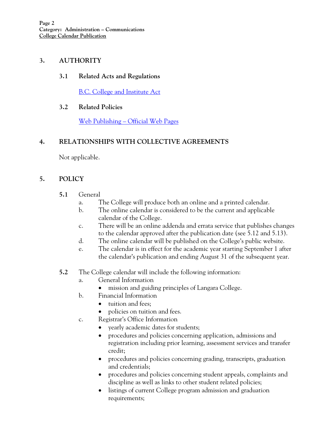## **3. AUTHORITY**

## **3.1 Related Acts and Regulations**

[B.C. College and Institute Act](http://www.qp.gov.bc.ca/statreg/stat/C/96052_01.htm)

## **3.2 Related Policies**

[Web Publishing – Official Web Pages](http://www.langara.bc.ca/about-langara/policies/media/pdfs/B5006.pdf)

# **4. RELATIONSHIPS WITH COLLECTIVE AGREEMENTS**

Not applicable.

# **5. POLICY**

## **5.1** General

- a. The College will produce both an online and a printed calendar.
- b. The online calendar is considered to be the current and applicable calendar of the College.
- c. There will be an online addenda and errata service that publishes changes to the calendar approved after the publication date (see 5.12 and 5.13).
- d. The online calendar will be published on the College's public website.
- e. The calendar is in effect for the academic year starting September 1 after the calendar's publication and ending August 31 of the subsequent year.
- **5.2** The College calendar will include the following information:
	- a. General Information
		- mission and guiding principles of Langara College.
	- b. Financial Information
		- tuition and fees;
		- policies on tuition and fees.
	- c. Registrar's Office Information
		- yearly academic dates for students;
		- procedures and policies concerning application, admissions and registration including prior learning, assessment services and transfer credit;
		- procedures and policies concerning grading, transcripts, graduation and credentials;
		- procedures and policies concerning student appeals, complaints and discipline as well as links to other student related policies;
		- listings of current College program admission and graduation requirements;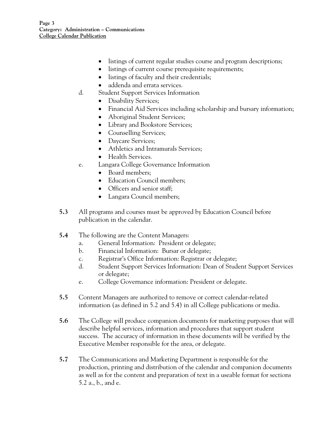- listings of current regular studies course and program descriptions;
- listings of current course prerequisite requirements;
- listings of faculty and their credentials;
- addenda and errata services.
- d. Student Support Services Information
	- Disability Services;
	- Financial Aid Services including scholarship and bursary information;
	- Aboriginal Student Services;
	- Library and Bookstore Services;
	- Counselling Services;
	- Daycare Services;
	- Athletics and Intramurals Services:
	- Health Services.
- e. Langara College Governance Information
	- Board members:
	- **Education Council members;**
	- Officers and senior staff:
	- Langara Council members;
- **5.3** All programs and courses must be approved by Education Council before publication in the calendar.
- **5.4** The following are the Content Managers:
	- a. General Information: President or delegate;
	- b. Financial Information: Bursar or delegate;
	- c. Registrar's Office Information: Registrar or delegate;
	- d. Student Support Services Information: Dean of Student Support Services or delegate;
	- e. College Governance information: President or delegate.
- **5.5** Content Managers are authorized to remove or correct calendar-related information (as defined in 5.2 and 5.4) in all College publications or media.
- **5.6** The College will produce companion documents for marketing purposes that will describe helpful services, information and procedures that support student success. The accuracy of information in these documents will be verified by the Executive Member responsible for the area, or delegate.
- **5.7** The Communications and Marketing Department is responsible for the production, printing and distribution of the calendar and companion documents as well as for the content and preparation of text in a useable format for sections 5.2 a., b., and e.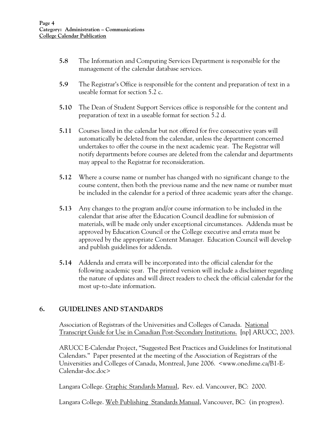- **5.8** The Information and Computing Services Department is responsible for the management of the calendar database services.
- **5.9** The Registrar's Office is responsible for the content and preparation of text in a useable format for section 5.2 c.
- **5.10** The Dean of Student Support Services office is responsible for the content and preparation of text in a useable format for section 5.2 d.
- **5.11** Courses listed in the calendar but not offered for five consecutive years will automatically be deleted from the calendar, unless the department concerned undertakes to offer the course in the next academic year. The Registrar will notify departments before courses are deleted from the calendar and departments may appeal to the Registrar for reconsideration.
- **5.12** Where a course name or number has changed with no significant change to the course content, then both the previous name and the new name or number must be included in the calendar for a period of three academic years after the change.
- **5.13** Any changes to the program and/or course information to be included in the calendar that arise after the Education Council deadline for submission of materials, will be made only under exceptional circumstances. Addenda must be approved by Education Council or the College executive and errata must be approved by the appropriate Content Manager. Education Council will develop and publish guidelines for addenda.
- **5.14** Addenda and errata will be incorporated into the official calendar for the following academic year. The printed version will include a disclaimer regarding the nature of updates and will direct readers to check the official calendar for the most up-to-date information.

## **6. GUIDELINES AND STANDARDS**

Association of Registrars of the Universities and Colleges of Canada. National Transcript Guide for Use in Canadian Post-Secondary Institutions. [np] ARUCC, 2003.

ARUCC E-Calendar Project, "Suggested Best Practices and Guidelines for Institutional Calendars." Paper presented at the meeting of the Association of Registrars of the Universities and Colleges of Canada, Montreal, June 2006. <www.onedime.ca/B1-E-Calendar-doc.doc>

Langara College. Graphic Standards Manual, Rev. ed. Vancouver, BC: 2000.

Langara College. Web Publishing Standards Manual, Vancouver, BC: (in progress).